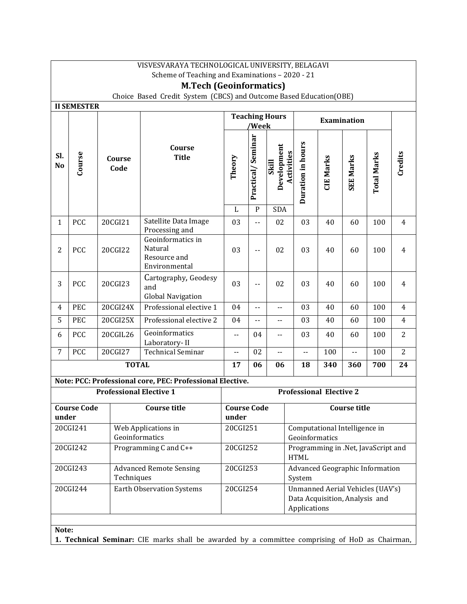|                                                                                                                                                | VISVESVARAYA TECHNOLOGICAL UNIVERSITY, BELAGAVI                                                      |                                |                                                                                                |                                |                                     |                                                         |                                                    |                  |                               |                    |                |
|------------------------------------------------------------------------------------------------------------------------------------------------|------------------------------------------------------------------------------------------------------|--------------------------------|------------------------------------------------------------------------------------------------|--------------------------------|-------------------------------------|---------------------------------------------------------|----------------------------------------------------|------------------|-------------------------------|--------------------|----------------|
|                                                                                                                                                | Scheme of Teaching and Examinations - 2020 - 21                                                      |                                |                                                                                                |                                |                                     |                                                         |                                                    |                  |                               |                    |                |
|                                                                                                                                                | <b>M.Tech (Geoinformatics)</b><br>Choice Based Credit System (CBCS) and Outcome Based Education(OBE) |                                |                                                                                                |                                |                                     |                                                         |                                                    |                  |                               |                    |                |
| <b>II SEMESTER</b>                                                                                                                             |                                                                                                      |                                |                                                                                                |                                |                                     |                                                         |                                                    |                  |                               |                    |                |
|                                                                                                                                                |                                                                                                      |                                |                                                                                                | <b>Teaching Hours</b><br>'Week |                                     | Examination                                             |                                                    |                  |                               |                    |                |
| Sl.<br>No                                                                                                                                      | Course                                                                                               | Course<br>Code                 | Course<br><b>Title</b>                                                                         | Theory<br>$\mathbf L$          | Practical/Seminar<br>$\overline{P}$ | Development<br>Activities<br><b>Skill</b><br><b>SDA</b> | Duration in hours                                  | <b>CIE Marks</b> | <b>SEE Marks</b>              | <b>Total Marks</b> | Credits        |
| $\mathbf{1}$                                                                                                                                   | PCC                                                                                                  | 20CGI21                        | Satellite Data Image                                                                           | 03                             |                                     | 02                                                      | 03                                                 | 40               | 60                            | 100                | $\overline{4}$ |
|                                                                                                                                                |                                                                                                      |                                | Processing and                                                                                 |                                | $\overline{\phantom{a}}$            |                                                         |                                                    |                  |                               |                    |                |
| $\overline{2}$                                                                                                                                 | PCC                                                                                                  | 20CGI22                        | Geoinformatics in<br>Natural<br>Resource and<br>Environmental                                  | 03                             | $-$                                 | 02                                                      | 03                                                 | 40               | 60                            | 100                | $\overline{4}$ |
| 3                                                                                                                                              | PCC                                                                                                  | 20CGI23                        | Cartography, Geodesy<br>and<br><b>Global Navigation</b>                                        | 03                             | $\overline{\phantom{a}}$            | 02                                                      | 03                                                 | 40               | 60                            | 100                | $\overline{4}$ |
| 4                                                                                                                                              | PEC                                                                                                  | 20CGI24X                       | Professional elective 1                                                                        | 04                             | --                                  | $\overline{\phantom{a}}$ .                              | 03                                                 | 40               | 60                            | 100                | $\overline{4}$ |
| 5                                                                                                                                              | PEC                                                                                                  | 20CGI25X                       | Professional elective 2                                                                        | 04                             | --                                  | $\overline{\phantom{a}}$ .                              | 03                                                 | 40               | 60                            | 100                | $\overline{4}$ |
| 6                                                                                                                                              | PCC                                                                                                  | 20CGIL26                       | Geoinformatics<br>Laboratory-II                                                                | $-$                            | 04                                  | $-$                                                     | 03                                                 | 40               | 60                            | 100                | $\overline{2}$ |
| $\overline{7}$                                                                                                                                 | PCC                                                                                                  | 20CGI27                        | <b>Technical Seminar</b>                                                                       | --                             | 02                                  | $-$                                                     | Ш.                                                 | 100              | ωü,                           | 100                | $\overline{2}$ |
|                                                                                                                                                |                                                                                                      | <b>TOTAL</b>                   |                                                                                                | 17                             | 06                                  | 06                                                      | 18                                                 | 340              | 360                           | 700                | 24             |
|                                                                                                                                                |                                                                                                      |                                | Note: PCC: Professional core, PEC: Professional Elective.                                      |                                |                                     |                                                         |                                                    |                  |                               |                    |                |
|                                                                                                                                                |                                                                                                      | <b>Professional Elective 1</b> |                                                                                                |                                |                                     |                                                         | <b>Professional Elective 2</b>                     |                  |                               |                    |                |
| under                                                                                                                                          | <b>Course Code</b>                                                                                   |                                | <b>Course title</b>                                                                            | <b>Course Code</b><br>under    |                                     |                                                         |                                                    |                  | <b>Course title</b>           |                    |                |
|                                                                                                                                                | 20CGI241                                                                                             | Geoinformatics                 | Web Applications in                                                                            | 20CGI251                       |                                     |                                                         | Geoinformatics                                     |                  | Computational Intelligence in |                    |                |
|                                                                                                                                                | 20CGI242                                                                                             |                                | Programming C and C++                                                                          | 20CGI252                       |                                     |                                                         | Programming in .Net, JavaScript and<br><b>HTML</b> |                  |                               |                    |                |
|                                                                                                                                                | 20CGI243                                                                                             | Techniques                     | <b>Advanced Remote Sensing</b>                                                                 | 20CGI253                       |                                     |                                                         | Advanced Geographic Information<br>System          |                  |                               |                    |                |
| 20CGI254<br>Unmanned Aerial Vehicles (UAV's)<br>20CGI244<br><b>Earth Observation Systems</b><br>Data Acquisition, Analysis and<br>Applications |                                                                                                      |                                |                                                                                                |                                |                                     |                                                         |                                                    |                  |                               |                    |                |
|                                                                                                                                                |                                                                                                      |                                |                                                                                                |                                |                                     |                                                         |                                                    |                  |                               |                    |                |
| Note:                                                                                                                                          |                                                                                                      |                                | 1. Technical Seminar: CIE marks shall be awarded by a committee comprising of HoD as Chairman, |                                |                                     |                                                         |                                                    |                  |                               |                    |                |
|                                                                                                                                                |                                                                                                      |                                |                                                                                                |                                |                                     |                                                         |                                                    |                  |                               |                    |                |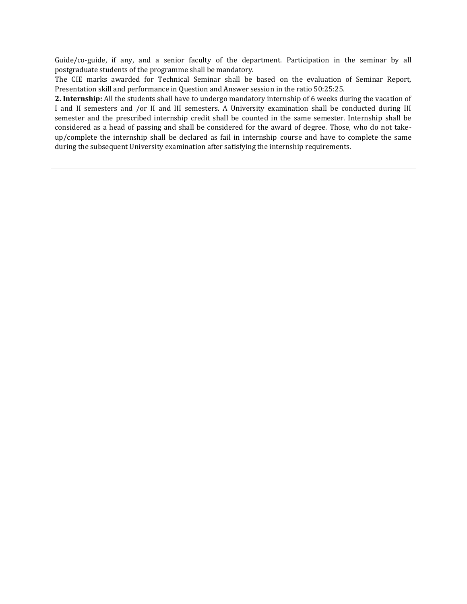Guide/co-guide, if any, and a senior faculty of the department. Participation in the seminar by all postgraduate students of the programme shall be mandatory.

The CIE marks awarded for Technical Seminar shall be based on the evaluation of Seminar Report, Presentation skill and performance in Question and Answer session in the ratio 50:25:25.

**2. Internship:** All the students shall have to undergo mandatory internship of 6 weeks during the vacation of I and II semesters and /or II and III semesters. A University examination shall be conducted during III semester and the prescribed internship credit shall be counted in the same semester. Internship shall be considered as a head of passing and shall be considered for the award of degree. Those, who do not takeup/complete the internship shall be declared as fail in internship course and have to complete the same during the subsequent University examination after satisfying the internship requirements.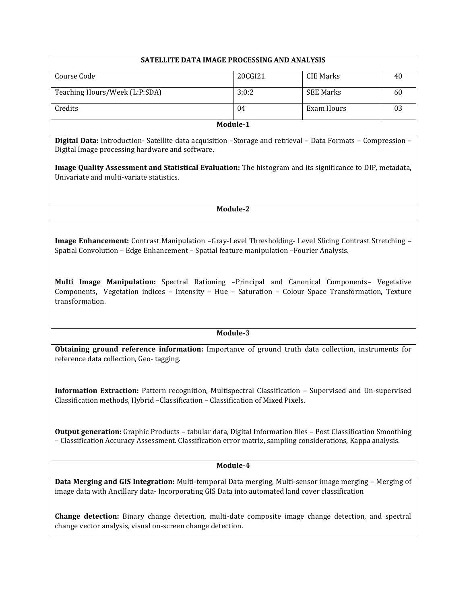| SATELLITE DATA IMAGE PROCESSING AND ANALYSIS                                                                                                                                                                                        |          |                   |    |  |  |
|-------------------------------------------------------------------------------------------------------------------------------------------------------------------------------------------------------------------------------------|----------|-------------------|----|--|--|
| Course Code                                                                                                                                                                                                                         | 20CGI21  | <b>CIE Marks</b>  | 40 |  |  |
| Teaching Hours/Week (L:P:SDA)                                                                                                                                                                                                       | 3:0:2    | <b>SEE Marks</b>  | 60 |  |  |
| Credits                                                                                                                                                                                                                             | 04       | <b>Exam Hours</b> | 03 |  |  |
|                                                                                                                                                                                                                                     | Module-1 |                   |    |  |  |
| Digital Data: Introduction- Satellite data acquisition -Storage and retrieval - Data Formats - Compression -<br>Digital Image processing hardware and software.                                                                     |          |                   |    |  |  |
| Image Quality Assessment and Statistical Evaluation: The histogram and its significance to DIP, metadata,<br>Univariate and multi-variate statistics.                                                                               |          |                   |    |  |  |
|                                                                                                                                                                                                                                     | Module-2 |                   |    |  |  |
| Multi Image Manipulation: Spectral Rationing -Principal and Canonical Components- Vegetative<br>Components, Vegetation indices - Intensity - Hue - Saturation - Colour Space Transformation, Texture<br>transformation.             |          |                   |    |  |  |
|                                                                                                                                                                                                                                     | Module-3 |                   |    |  |  |
| Obtaining ground reference information: Importance of ground truth data collection, instruments for<br>reference data collection, Geo-tagging.                                                                                      |          |                   |    |  |  |
| Information Extraction: Pattern recognition, Multispectral Classification - Supervised and Un-supervised<br>Classification methods, Hybrid -Classification - Classification of Mixed Pixels.                                        |          |                   |    |  |  |
| <b>Output generation:</b> Graphic Products - tabular data, Digital Information files - Post Classification Smoothing<br>- Classification Accuracy Assessment. Classification error matrix, sampling considerations, Kappa analysis. |          |                   |    |  |  |
|                                                                                                                                                                                                                                     | Module-4 |                   |    |  |  |
| Data Merging and GIS Integration: Multi-temporal Data merging, Multi-sensor image merging - Merging of<br>image data with Ancillary data-Incorporating GIS Data into automated land cover classification                            |          |                   |    |  |  |
| Change detection: Binary change detection, multi-date composite image change detection, and spectral<br>change vector analysis, visual on-screen change detection.                                                                  |          |                   |    |  |  |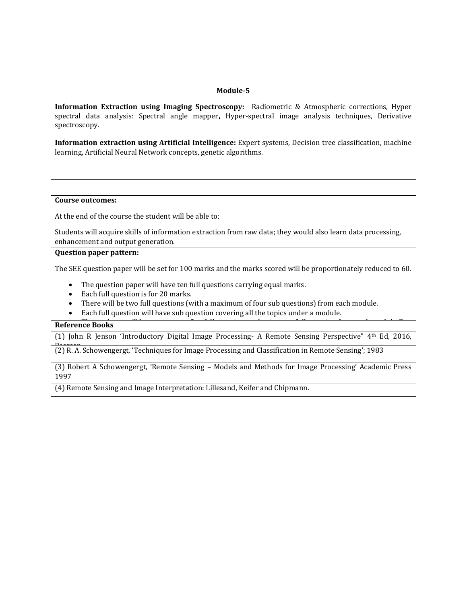**Information Extraction using Imaging Spectroscopy:** Radiometric & Atmospheric corrections, Hyper spectral data analysis: Spectral angle mapper**,** Hyper-spectral image analysis techniques, Derivative spectroscopy.

**Information extraction using Artificial Intelligence:** Expert systems, Decision tree classification, machine learning, Artificial Neural Network concepts, genetic algorithms.

#### **Course outcomes:**

At the end of the course the student will be able to:

Students will acquire skills of information extraction from raw data; they would also learn data processing, enhancement and output generation.

## **Question paper pattern:**

The SEE question paper will be set for 100 marks and the marks scored will be proportionately reduced to 60.

- The question paper will have ten full questions carrying equal marks.
- Each full question is for 20 marks.
- There will be two full questions (with a maximum of four sub questions) from each module.
- Each full question will have sub question covering all the topics under a module.

## **The Students Reference Books**

(1) John R Jenson 'Introductory Digital Image Processing- A Remote Sensing Perspective" 4th Ed, 2016,

Pearson. (2) R. A. Schowengergt, 'Techniques for Image Processing and Classification in Remote Sensing'; 1983

(3) Robert A Schowengergt, 'Remote Sensing – Models and Methods for Image Processing' Academic Press 1997

(4) Remote Sensing and Image Interpretation: Lillesand, Keifer and Chipmann.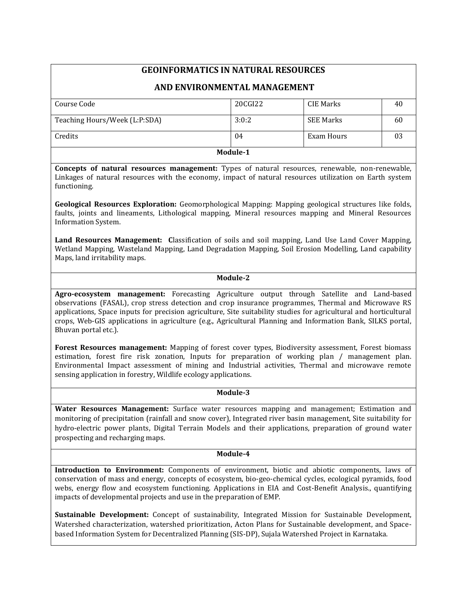## **GEOINFORMATICS IN NATURAL RESOURCES**

## **AND ENVIRONMENTAL MANAGEMENT**

| Course Code                   | 20CGI22 | CIE Marks        | 40 |  |  |
|-------------------------------|---------|------------------|----|--|--|
|                               |         |                  |    |  |  |
|                               |         |                  |    |  |  |
| Teaching Hours/Week (L:P:SDA) | 3:0:2   | <b>SEE Marks</b> | 60 |  |  |
|                               |         |                  |    |  |  |
| Credits                       | 04      | Exam Hours       | 03 |  |  |
|                               |         |                  |    |  |  |
| Module-1                      |         |                  |    |  |  |

**Concepts of natural resources management:** Types of natural resources, renewable, non-renewable, Linkages of natural resources with the economy, impact of natural resources utilization on Earth system functioning.

**Geological Resources Exploration:** Geomorphological Mapping: Mapping geological structures like folds, faults, joints and lineaments, Lithological mapping, Mineral resources mapping and Mineral Resources Information System.

**Land Resources Management: C**lassification of soils and soil mapping, Land Use Land Cover Mapping, Wetland Mapping, Wasteland Mapping, Land Degradation Mapping, Soil Erosion Modelling, Land capability Maps, land irritability maps.

## **Module-2**

**Agro-ecosystem management:** Forecasting Agriculture output through Satellite and Land-based observations (FASAL), crop stress detection and crop insurance programmes, Thermal and Microwave RS applications, Space inputs for precision agriculture, Site suitability studies for agricultural and horticultural crops, Web-GIS applications in agriculture (e.g., Agricultural Planning and Information Bank, SILKS portal, Bhuvan portal etc.).

**Forest Resources management:** Mapping of forest cover types, Biodiversity assessment, Forest biomass estimation, forest fire risk zonation, Inputs for preparation of working plan / management plan. Environmental Impact assessment of mining and Industrial activities, Thermal and microwave remote sensing application in forestry, Wildlife ecology applications.

#### **Module-3**

**Water Resources Management:** Surface water resources mapping and management; Estimation and monitoring of precipitation (rainfall and snow cover), Integrated river basin management, Site suitability for hydro-electric power plants, Digital Terrain Models and their applications, preparation of ground water prospecting and recharging maps.

## **Module-4**

**Introduction to Environment:** Components of environment, biotic and abiotic components, laws of conservation of mass and energy, concepts of ecosystem, bio-geo-chemical cycles, ecological pyramids, food webs, energy flow and ecosystem functioning. Applications in EIA and Cost-Benefit Analysis., quantifying impacts of developmental projects and use in the preparation of EMP.

**Sustainable Development:** Concept of sustainability, Integrated Mission for Sustainable Development, Watershed characterization, watershed prioritization, Acton Plans for Sustainable development, and Spacebased Information System for Decentralized Planning (SIS-DP), Sujala Watershed Project in Karnataka.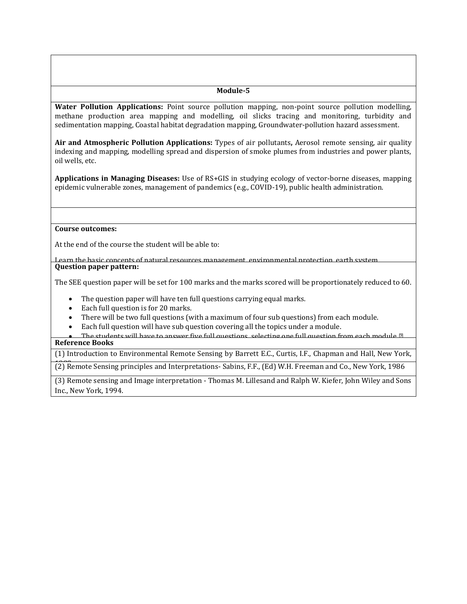**Water Pollution Applications:** Point source pollution mapping, non-point source pollution modelling, methane production area mapping and modelling, oil slicks tracing and monitoring, turbidity and sedimentation mapping, Coastal habitat degradation mapping, Groundwater-pollution hazard assessment.

**Air and Atmospheric Pollution Applications:** Types of air pollutants**,** Aerosol remote sensing, air quality indexing and mapping, modelling spread and dispersion of smoke plumes from industries and power plants, oil wells, etc.

**Applications in Managing Diseases:** Use of RS+GIS in studying ecology of vector-borne diseases, mapping epidemic vulnerable zones, management of pandemics (e.g., COVID-19), public health administration.

#### **Course outcomes:**

At the end of the course the student will be able to:

Learn the basic concents of natural resources management, environmental protection, earth system **Question paper pattern:** 

The SEE question paper will be set for 100 marks and the marks scored will be proportionately reduced to 60.

- The question paper will have ten full questions carrying equal marks.
- Each full question is for 20 marks.
- There will be two full questions (with a maximum of four sub questions) from each module.
- Each full question will have sub question covering all the topics under a module.
- The students will have to answer five full questions, selecting one full question from each module.*∎* **Reference Books**

(1) Introduction to Environmental Remote Sensing by Barrett E.C., Curtis, I.F., Chapman and Hall, New York,

<sup>1982</sup> (2) Remote Sensing principles and Interpretations- Sabins, F.F., (Ed) W.H. Freeman and Co., New York, 1986

(3) Remote sensing and Image interpretation - Thomas M. Lillesand and Ralph W. Kiefer, John Wiley and Sons Inc., New York, 1994.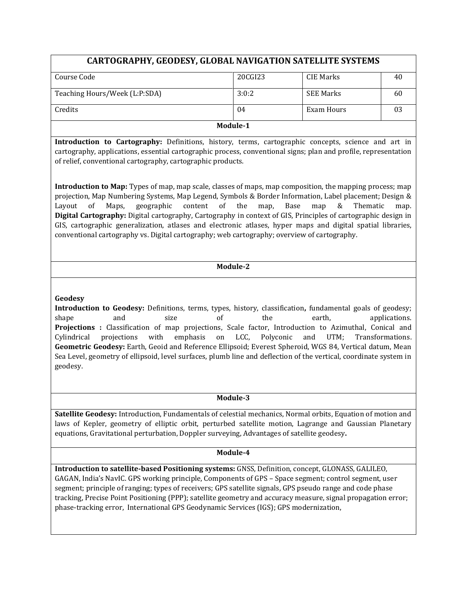| <b>CARTOGRAPHY, GEODESY, GLOBAL NAVIGATION SATELLITE SYSTEMS</b> |         |                  |    |  |  |
|------------------------------------------------------------------|---------|------------------|----|--|--|
| Course Code                                                      | 20CGI23 | CIE Marks        | 40 |  |  |
| Teaching Hours/Week (L:P:SDA)                                    | 3:0:2   | <b>SEE Marks</b> | 60 |  |  |
| Credits                                                          | 04      | Exam Hours       | 03 |  |  |
| Module-1                                                         |         |                  |    |  |  |

**Introduction to Cartography:** Definitions, history, terms, cartographic concepts, science and art in cartography, applications, essential cartographic process, conventional signs; plan and profile, representation of relief, conventional cartography, cartographic products.

**Introduction to Map:** Types of map, map scale, classes of maps, map composition, the mapping process; map projection, Map Numbering Systems, Map Legend, Symbols & Border Information, Label placement; Design & Layout of Maps, geographic content of the map, Base map & Thematic map. **Digital Cartography:** Digital cartography, Cartography in context of GIS, Principles of cartographic design in GIS, cartographic generalization, atlases and electronic atlases, hyper maps and digital spatial libraries, conventional cartography vs. Digital cartography; web cartography; overview of cartography.

## **Module-2**

## **Geodesy**

**Introduction to Geodesy:** Definitions, terms, types, history, classification**,** fundamental goals of geodesy; shape and size of the earth, applications. **Projections :** Classification of map projections, Scale factor, Introduction to Azimuthal, Conical and Cylindrical projections with emphasis on LCC, Polyconic and UTM; Transformations. **Geometric Geodesy:** Earth, Geoid and Reference Ellipsoid; Everest Spheroid, WGS 84, Vertical datum, Mean Sea Level, geometry of ellipsoid, level surfaces, plumb line and deflection of the vertical, coordinate system in geodesy.

#### **Module-3**

**Satellite Geodesy:** Introduction, Fundamentals of celestial mechanics, Normal orbits, Equation of motion and laws of Kepler, geometry of elliptic orbit, perturbed satellite motion, Lagrange and Gaussian Planetary equations, Gravitational perturbation, Doppler surveying, Advantages of satellite geodesy**.**

## **Module-4**

**Introduction to satellite-based Positioning systems:** GNSS, Definition, concept, GLONASS, GALILEO, GAGAN, India's NavIC. GPS working principle, Components of GPS – Space segment; control segment, user segment; principle of ranging; types of receivers; GPS satellite signals, GPS pseudo range and code phase tracking, Precise Point Positioning (PPP); satellite geometry and accuracy measure, signal propagation error; phase-tracking error, International GPS Geodynamic Services (IGS); GPS modernization,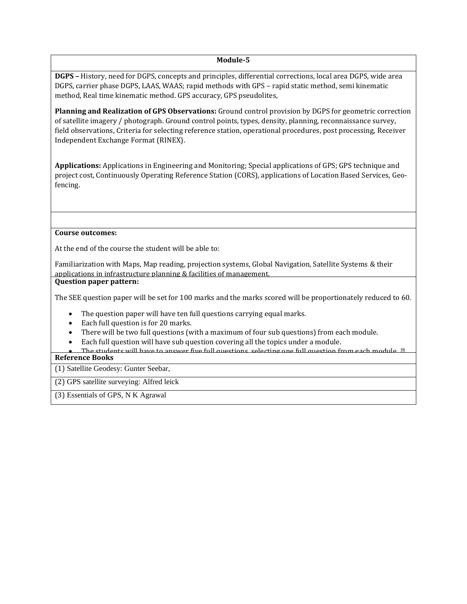**DGPS –** History, need for DGPS, concepts and principles, differential corrections, local area DGPS, wide area DGPS, carrier phase DGPS, LAAS, WAAS; rapid methods with GPS – rapid static method, semi kinematic method, Real time kinematic method. GPS accuracy, GPS pseudolites,

**Planning and Realization of GPS Observations:** Ground control provision by DGPS for geometric correction of satellite imagery / photograph. Ground control points, types, density, planning, reconnaissance survey, field observations, Criteria for selecting reference station, operational procedures, post processing, Receiver Independent Exchange Format (RINEX).

**Applications:** Applications in Engineering and Monitoring; Special applications of GPS; GPS technique and project cost, Continuously Operating Reference Station (CORS), applications of Location Based Services, Geofencing.

## **Course outcomes:**

At the end of the course the student will be able to:

Familiarization with Maps, Map reading, projection systems, Global Navigation, Satellite Systems & their applications in infrastructure planning & facilities of management. **Question paper pattern:**

The SEE question paper will be set for 100 marks and the marks scored will be proportionately reduced to 60.

- The question paper will have ten full questions carrying equal marks.
- Each full question is for 20 marks.
- There will be two full questions (with a maximum of four sub questions) from each module.
- Each full question will have sub question covering all the topics under a module.
- The students will have to answer five full questions, selecting one full question from each module. *∎* **Reference Books**

(1) Satellite Geodesy: Gunter Seebar,

(2) GPS satellite surveying: Alfred leick

(3) Essentials of GPS, N K Agrawal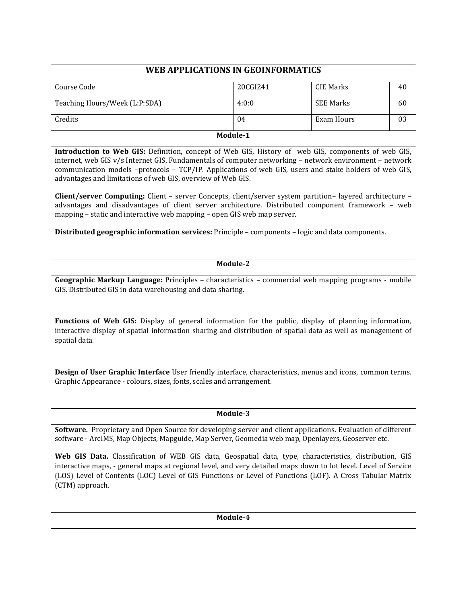| WEB APPLICATIONS IN GEOINFORMATICS |          |                  |    |  |  |
|------------------------------------|----------|------------------|----|--|--|
|                                    |          |                  |    |  |  |
| Course Code                        | 20CGI241 | CIE Marks        | 40 |  |  |
| Teaching Hours/Week (L:P:SDA)      | 4:0:0    | <b>SEE Marks</b> | 60 |  |  |
| Credits                            | 04       | Exam Hours       | 03 |  |  |
|                                    | Module-1 |                  |    |  |  |

**Introduction to Web GIS:** Definition, concept of Web GIS, History of web GIS, components of web GIS, internet, web GIS v/s Internet GIS, Fundamentals of computer networking – network environment – network communication models –protocols – TCP/IP. Applications of web GIS, users and stake holders of web GIS, advantages and limitations of web GIS, overview of Web GIS.

**Client/server Computing:** Client – server Concepts, client/server system partition– layered architecture – advantages and disadvantages of client server architecture. Distributed component framework – web mapping – static and interactive web mapping – open GIS web map server.

**Distributed geographic information services:** Principle – components – logic and data components.

## **Module-2**

**Geographic Markup Language:** Principles – characteristics – commercial web mapping programs - mobile GIS. Distributed GIS in data warehousing and data sharing.

**Functions of Web GIS:** Display of general information for the public, display of planning information, interactive display of spatial information sharing and distribution of spatial data as well as management of spatial data.

**Design of User Graphic Interface** User friendly interface, characteristics, menus and icons, common terms. Graphic Appearance - colours, sizes, fonts, scales and arrangement.

## **Module-3**

**Software.** Proprietary and Open Source for developing server and client applications. Evaluation of different software - ArcIMS, Map Objects, Mapguide, Map Server, Geomedia web map, Openlayers, Geoserver etc.

**Web GIS Data.** Classification of WEB GIS data, Geospatial data, type, characteristics, distribution, GIS interactive maps, - general maps at regional level, and very detailed maps down to lot level. Level of Service (LOS) Level of Contents (LOC) Level of GIS Functions or Level of Functions (LOF). A Cross Tabular Matrix (CTM) approach.

**Module-4**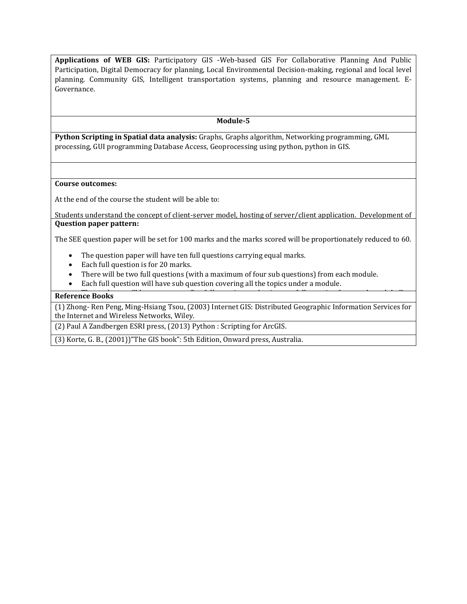**Applications of WEB GIS:** Participatory GIS -Web-based GIS For Collaborative Planning And Public Participation, Digital Democracy for planning, Local Environmental Decision-making, regional and local level planning. Community GIS, Intelligent transportation systems, planning and resource management. E-Governance.

### **Module-5**

**Python Scripting in Spatial data analysis:** Graphs, Graphs algorithm, Networking programming, GML processing, GUI programming Database Access, Geoprocessing using python, python in GIS.

#### **Course outcomes:**

At the end of the course the student will be able to:

Students understand the concept of client-server model, hosting of server/client application. Development of application and integration with database for data reviewed. Functionalities of development of customized **Question paper pattern:**

The SEE question paper will be set for 100 marks and the marks scored will be proportionately reduced to 60.

- The question paper will have ten full questions carrying equal marks.
- Each full question is for 20 marks.
- There will be two full questions (with a maximum of four sub questions) from each module.
- Each full question will have sub question covering all the topics under a module.

Cartwright, W., M.P. Peterson, G. Gartner (Eds) "Multimedia Cartography', Berlm: Springer.

#### **Reference Books**

(1) Zhong- [Ren Peng,](http://www.google.co.in/search?tbo=p&tbm=bks&q=inauthor:%22Zhong-Ren+Peng%22) [Ming-Hsiang Tsou,](http://www.google.co.in/search?tbo=p&tbm=bks&q=inauthor:%22Ming-Hsiang+Tsou%22) (2003) Internet GIS: Distributed Geographic Information Services for the Internet and Wireless Networks, Wiley.

(2) Paul A Zandbergen ESRI press, (2013) Python : Scripting for ArcGIS.

(3) Korte, G. B., (2001})"The GIS book": 5th Edition, Onward press, Australia.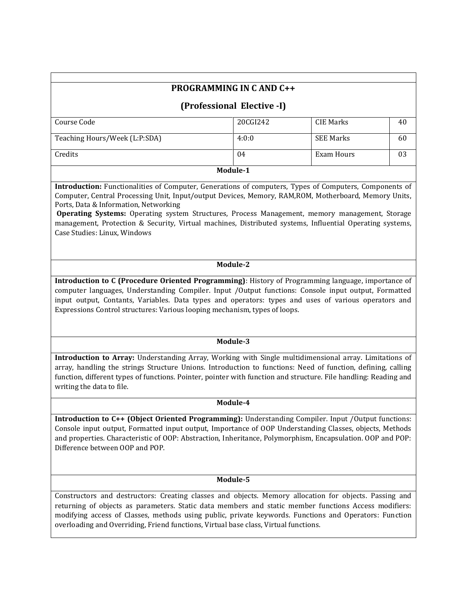# **PROGRAMMING IN C AND C++**

## **(Professional Elective -I)**

| Course Code                   | 20CGI242 | CIE Marks        | 40 |  |  |
|-------------------------------|----------|------------------|----|--|--|
| Teaching Hours/Week (L:P:SDA) | 4:0:0    | <b>SEE Marks</b> | 60 |  |  |
| Credits                       | 04       | Exam Hours       | 03 |  |  |
| Module-1                      |          |                  |    |  |  |

**Introduction:** Functionalities of Computer, Generations of computers, Types of Computers, Components of Computer, Central Processing Unit, Input/output Devices, Memory, RAM,ROM, Motherboard, Memory Units, Ports, Data & Information, Networking

**Operating Systems:** Operating system Structures, Process Management, memory management, Storage management, Protection & Security, Virtual machines, Distributed systems, Influential Operating systems, Case Studies: Linux, Windows

## **Module-2**

**Introduction to C (Procedure Oriented Programming)**: History of Programming language, importance of computer languages, Understanding Compiler. Input /Output functions: Console input output, Formatted input output, Contants, Variables. Data types and operators: types and uses of various operators and Expressions Control structures: Various looping mechanism, types of loops.

#### **Module-3**

**Introduction to Array:** Understanding Array, Working with Single multidimensional array. Limitations of array, handling the strings Structure Unions. Introduction to functions: Need of function, defining, calling function, different types of functions. Pointer, pointer with function and structure. File handling: Reading and writing the data to file.

#### **Module-4**

**Introduction to C++ (Object Oriented Programming):** Understanding Compiler. Input /Output functions: Console input output, Formatted input output, Importance of OOP Understanding Classes, objects, Methods and properties. Characteristic of OOP: Abstraction, Inheritance, Polymorphism, Encapsulation. OOP and POP: Difference between OOP and POP.

#### **Module-5**

Constructors and destructors: Creating classes and objects. Memory allocation for objects. Passing and returning of objects as parameters. Static data members and static member functions Access modifiers: modifying access of Classes, methods using public, private keywords. Functions and Operators: Function overloading and Overriding, Friend functions, Virtual base class, Virtual functions.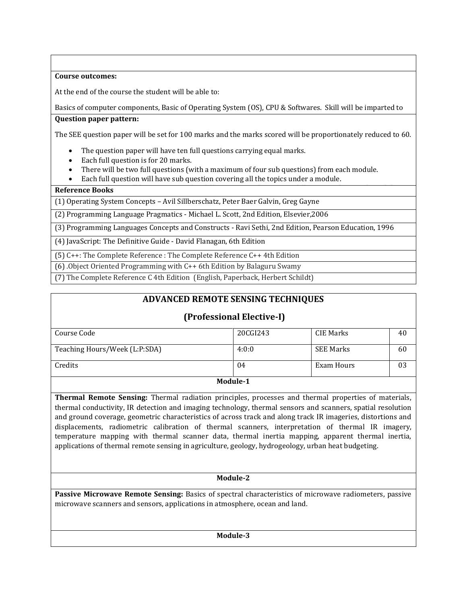## **Course outcomes:**

At the end of the course the student will be able to:

Basics of computer components, Basic of Operating System (OS), CPU & Softwares. Skill will be imparted to

## **Question paper pattern:**

The SEE question paper will be set for 100 marks and the marks scored will be proportionately reduced to 60.

- The question paper will have ten full questions carrying equal marks.
- Each full question is for 20 marks.
- There will be two full questions (with a maximum of four sub questions) from each module.
- Each full question will have sub question covering all the topics under a module.

## **Reference Books**

(1) Operating System Concepts – Avil Sillberschatz, Peter Baer Galvin, Greg Gayne

 (2) Programming Language Pragmatics - Michael L. Scott, 2nd Edition, Elsevier,2006

(3) Programming Languages Concepts and Constructs - Ravi Sethi, 2nd Edition, Pearson Education, 1996

(4) JavaScript: The Definitive Guide - David Flanagan, 6th Edition

(5) C++: The Complete Reference : The Complete Reference C++ 4th Edition

 $(6)$ . Object Oriented Programming with C++ 6th Edition by Balaguru Swamy

(7) The Complete Reference C 4th Edition (English, Paperback, Herbert Schildt)

# **ADVANCED REMOTE SENSING TECHNIQUES**

# **(Professional Elective-I)**

| Course Code                   | 20CGI243 | CIE Marks        | 40 |  |  |
|-------------------------------|----------|------------------|----|--|--|
|                               |          |                  |    |  |  |
| Teaching Hours/Week (L:P:SDA) | 4:0:0    | <b>SEE Marks</b> | 60 |  |  |
|                               |          |                  |    |  |  |
| Credits                       | 04       | Exam Hours       | 03 |  |  |
|                               |          |                  |    |  |  |
| Module-1                      |          |                  |    |  |  |

## **Module-1**

**Thermal Remote Sensing:** Thermal radiation principles, processes and thermal properties of materials, thermal conductivity, IR detection and imaging technology, thermal sensors and scanners, spatial resolution and ground coverage, geometric characteristics of across track and along track IR imageries, distortions and displacements, radiometric calibration of thermal scanners, interpretation of thermal IR imagery, temperature mapping with thermal scanner data, thermal inertia mapping, apparent thermal inertia, applications of thermal remote sensing in agriculture, geology, hydrogeology, urban heat budgeting.

## **Module-2**

**Passive Microwave Remote Sensing:** Basics of spectral characteristics of microwave radiometers, passive microwave scanners and sensors, applications in atmosphere, ocean and land.

**Module-3**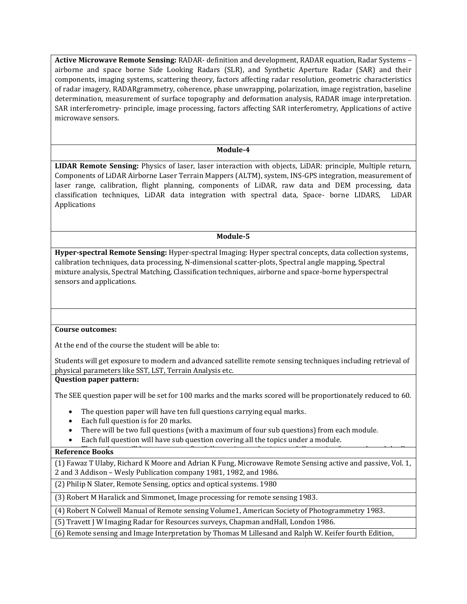**Active Microwave Remote Sensing:** RADAR- definition and development, RADAR equation, Radar Systems – airborne and space borne Side Looking Radars (SLR), and Synthetic Aperture Radar (SAR) and their components, imaging systems, scattering theory, factors affecting radar resolution, geometric characteristics of radar imagery, RADARgrammetry, coherence, phase unwrapping, polarization, image registration, baseline determination, measurement of surface topography and deformation analysis, RADAR image interpretation. SAR interferometry- principle, image processing, factors affecting SAR interferometry, Applications of active microwave sensors.

#### **Module-4**

**LIDAR Remote Sensing:** Physics of laser, laser interaction with objects, LiDAR: principle, Multiple return, Components of LiDAR Airborne Laser Terrain Mappers (ALTM), system, INS-GPS integration, measurement of laser range, calibration, flight planning, components of LiDAR, raw data and DEM processing, data classification techniques, LiDAR data integration with spectral data, Space- borne LIDARS, LiDAR Applications

### **Module-5**

**Hyper-spectral Remote Sensing:** Hyper-spectral Imaging: Hyper spectral concepts, data collection systems, calibration techniques, data processing, N-dimensional scatter-plots, Spectral angle mapping, Spectral mixture analysis, Spectral Matching, Classification techniques, airborne and space-borne hyperspectral sensors and applications.

#### **Course outcomes:**

At the end of the course the student will be able to:

Students will get exposure to modern and advanced satellite remote sensing techniques including retrieval of physical parameters like SST, LST, Terrain Analysis etc.

#### **Question paper pattern:**

The SEE question paper will be set for 100 marks and the marks scored will be proportionately reduced to 60.

- The question paper will have ten full questions carrying equal marks.
- Each full question is for 20 marks.
- There will be two full questions (with a maximum of four sub questions) from each module.
- Each full question will have sub question covering all the topics under a module.

#### **Reference Books**

(1) Fawaz T Ulaby, Richard K Moore and Adrian K Fung, Microwave Remote Sensing active and passive, Vol. 1, 2 and 3 Addison – Wesly Publication company 1981, 1982, and 1986.

(2) Philip N Slater, Remote Sensing, optics and optical systems. 1980

(3) Robert M Haralick and Simmonet, Image processing for remote sensing 1983.

(4) Robert N Colwell Manual of Remote sensing Volume1, American Society of Photogrammetry 1983.

(5) Travett J W Imaging Radar for Resources surveys, Chapman andHall, London 1986.

(6) Remote sensing and Image Interpretation by Thomas M Lillesand and Ralph W. Keifer fourth Edition,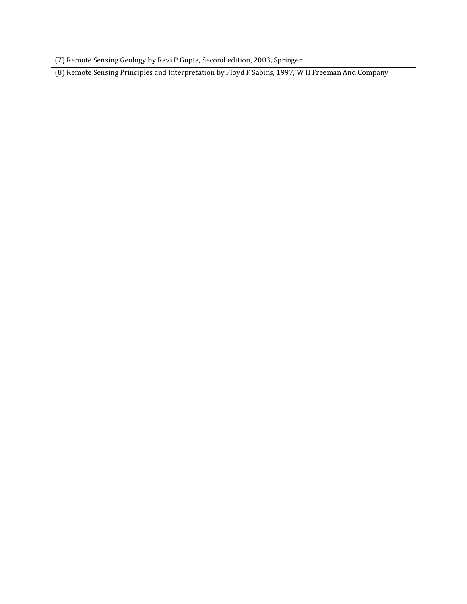(7) Remote Sensing Geology by Ravi P Gupta, Second edition, 2003, Springer

(8) Remote Sensing Principles and Interpretation by Floyd F Sabins, 1997, W H Freeman And Company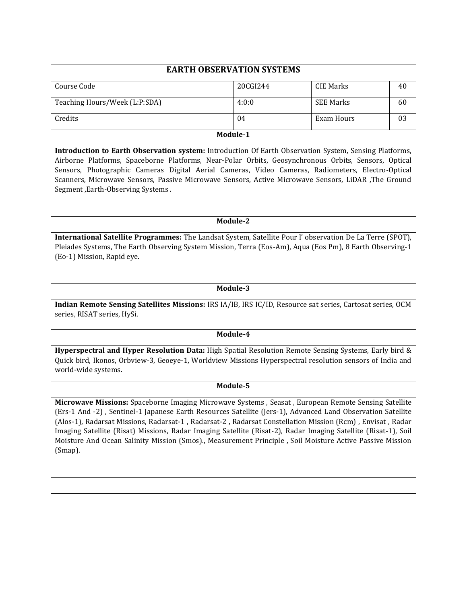| <b>EARTH OBSERVATION SYSTEMS</b> |          |                  |    |  |
|----------------------------------|----------|------------------|----|--|
| Course Code                      | 20CGI244 | CIE Marks        | 40 |  |
| Teaching Hours/Week (L:P:SDA)    | 4:0:0    | <b>SEE Marks</b> | 60 |  |
| Credits                          | 04       | Exam Hours       | 03 |  |
|                                  | Module-1 |                  |    |  |

**Introduction to Earth Observation system:** Introduction Of Earth Observation System, Sensing Platforms, Airborne Platforms, Spaceborne Platforms, Near-Polar Orbits, Geosynchronous Orbits, Sensors, Optical Sensors, Photographic Cameras Digital Aerial Cameras, Video Cameras, Radiometers, Electro-Optical Scanners, Microwave Sensors, Passive Microwave Sensors, Active Microwave Sensors, LiDAR ,The Ground Segment ,Earth-Observing Systems .

**Module-2**

**International Satellite Programmes:** The Landsat System, Satellite Pour l' observation De La Terre (SPOT), Pleiades Systems, The Earth Observing System Mission, Terra (Eos-Am), Aqua (Eos Pm), 8 Earth Observing-1 (Eo-1) Mission, Rapid eye.

**Module-3**

**Indian Remote Sensing Satellites Missions:** IRS IA/IB, IRS IC/ID, Resource sat series, Cartosat series, OCM series, RISAT series, HySi.

**Module-4**

**Hyperspectral and Hyper Resolution Data:** High Spatial Resolution Remote Sensing Systems, Early bird & Quick bird, Ikonos, Orbview-3, Geoeye-1, Worldview Missions Hyperspectral resolution sensors of India and world-wide systems.

**Module-5**

**Microwave Missions:** Spaceborne Imaging Microwave Systems , Seasat , European Remote Sensing Satellite (Ers-1 And -2) , Sentinel-1 Japanese Earth Resources Satellite (Jers-1), Advanced Land Observation Satellite (Alos-1), Radarsat Missions, Radarsat-1 , Radarsat-2 , Radarsat Constellation Mission (Rcm) , Envisat , Radar Imaging Satellite (Risat) Missions, Radar Imaging Satellite (Risat-2), Radar Imaging Satellite (Risat-1), Soil Moisture And Ocean Salinity Mission (Smos)., Measurement Principle , Soil Moisture Active Passive Mission (Smap).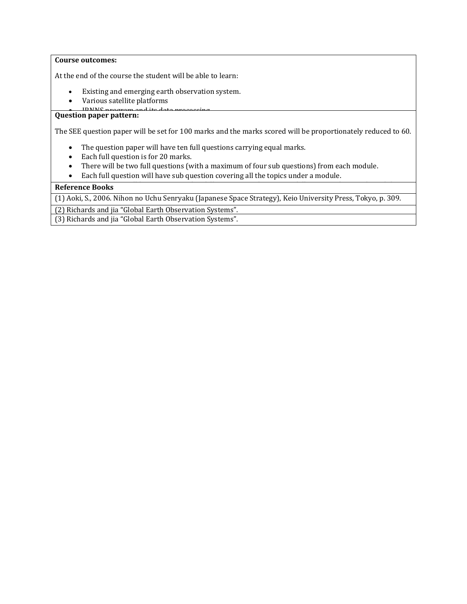## **Course outcomes:**

At the end of the course the student will be able to learn:

- Existing and emerging earth observation system.
- Various satellite platforms
- IDNNS program and its data process

# **Question paper pattern:**

The SEE question paper will be set for 100 marks and the marks scored will be proportionately reduced to 60.

- The question paper will have ten full questions carrying equal marks.
- Each full question is for 20 marks.
- There will be two full questions (with a maximum of four sub questions) from each module.
- Each full question will have sub question covering all the topics under a module.

# **Reference Books** (1) Aoki, S., 2006. Nihon no Uchu Senryaku (Japanese Space Strategy), Keio University Press, Tokyo, p. 309. (2) Richards and jia "Global Earth Observation Systems". (3) Richards and jia "Global Earth Observation Systems".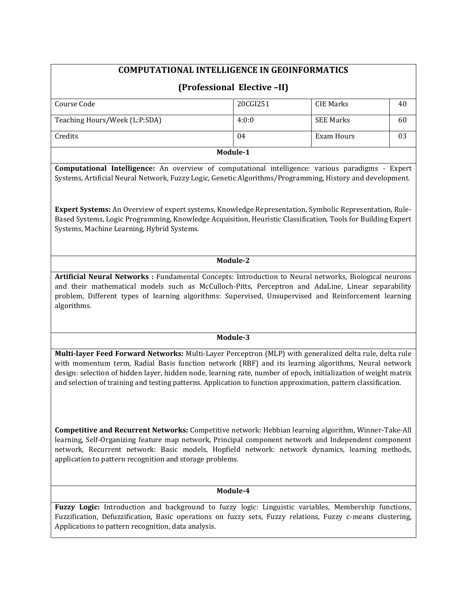## **COMPUTATIONAL INTELLIGENCE IN GEOINFORMATICS**

## **(Professional Elective –II)**

| Course Code                   | 20CGI251 | <b>CIE Marks</b> | 40 |  |  |
|-------------------------------|----------|------------------|----|--|--|
|                               |          |                  |    |  |  |
| Teaching Hours/Week (L:P:SDA) | 4:0:0    | <b>SEE Marks</b> | 60 |  |  |
| Credits                       | 04       | Exam Hours       | 03 |  |  |
| Module-1                      |          |                  |    |  |  |

**Computational Intelligence:** An overview of computational intelligence: various paradigms - Expert Systems, Artificial Neural Network, Fuzzy Logic, Genetic Algorithms/Programming, History and development.

**Expert Systems:** An Overview of expert systems, Knowledge Representation, Symbolic Representation, Rule-Based Systems, Logic Programming, Knowledge Acquisition, Heuristic Classification, Tools for Building Expert Systems, Machine Learning, Hybrid Systems.

## **Module-2**

**Artificial Neural Networks :** Fundamental Concepts: Introduction to Neural networks, Biological neurons and their mathematical models such as McCulloch-Pitts, Perceptron and AdaLine, Linear separability problem, Different types of learning algorithms: Supervised, Unsupervised and Reinforcement learning algorithms.

#### **Module-3**

**Multi-layer Feed Forward Networks:** Multi-Layer Perceptron (MLP) with generalized delta rule, delta rule with momentum term, Radial Basis function network (RBF) and its learning algorithms, Neural network design: selection of hidden layer, hidden node, learning rate, number of epoch, initialization of weight matrix and selection of training and testing patterns. Application to function approximation, pattern classification.

**Competitive and Recurrent Networks:** Competitive network: Hebbian learning algorithm, Winner-Take-All learning, Self-Organizing feature map network, Principal component network and Independent component network, Recurrent network: Basic models, Hopfield network: network dynamics, learning methods, application to pattern recognition and storage problems.

## **Module-4**

**Fuzzy Logic:** Introduction and background to fuzzy logic: Linguistic variables, Membership functions, Fuzzification, Defuzzification, Basic operations on fuzzy sets, Fuzzy relations, Fuzzy c-means clustering, Applications to pattern recognition, data analysis.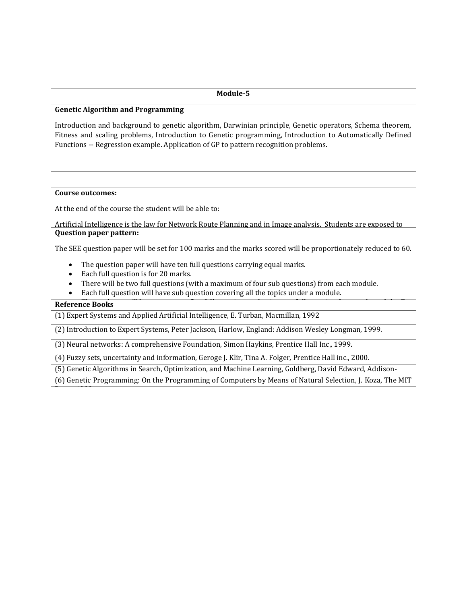#### **Genetic Algorithm and Programming**

Introduction and background to genetic algorithm, Darwinian principle, Genetic operators, Schema theorem, Fitness and scaling problems, Introduction to Genetic programming, Introduction to Automatically Defined Functions -- Regression example. Application of GP to pattern recognition problems.

#### **Course outcomes:**

At the end of the course the student will be able to:

Artificial Intelligence is the law for Network Route Planning and in Image analysis. Students are exposed to the fundamental of Artificial Intelligence and also concepts of algorithm development. Its application in RS & **Question paper pattern:**

The SEE question paper will be set for 100 marks and the marks scored will be proportionately reduced to 60.

- The question paper will have ten full questions carrying equal marks.
- Each full question is for 20 marks.
- There will be two full questions (with a maximum of four sub questions) from each module.
- Each full question will have sub question covering all the topics under a module.

## **Reference Books**

Press, 1992.

(1) Expert Systems and Applied Artificial Intelligence, E. Turban, Macmillan, 1992

(2) Introduction to Expert Systems, Peter Jackson, Harlow, England: Addison Wesley Longman, 1999.

(3) Neural networks: A comprehensive Foundation, Simon Haykins, Prentice Hall Inc., 1999.

(4) Fuzzy sets, uncertainty and information, Geroge J. Klir, Tina A. Folger, Prentice Hall inc., 2000.

(5) Genetic Algorithms in Search, Optimization, and Machine Learning, Goldberg, David Edward, Addison-

(6) Genetic Programming: On the Programming of Computers by Means of Natural Selection, J. Koza, The MIT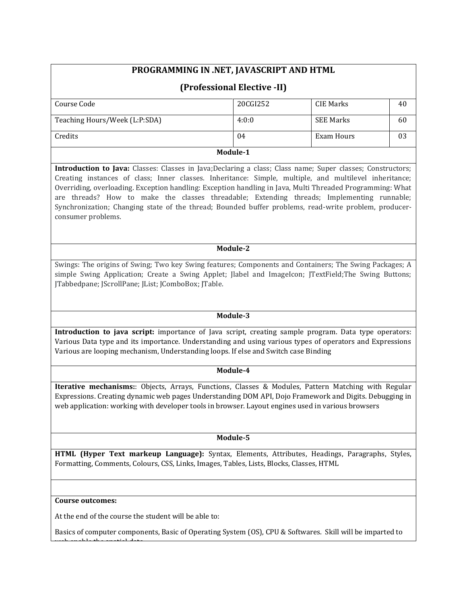| PROGRAMMING IN .NET, JAVASCRIPT AND HTML                                                                                                                                                                                                                                                                                                                                                                                                                                                                                                                        |          |                   |    |  |  |
|-----------------------------------------------------------------------------------------------------------------------------------------------------------------------------------------------------------------------------------------------------------------------------------------------------------------------------------------------------------------------------------------------------------------------------------------------------------------------------------------------------------------------------------------------------------------|----------|-------------------|----|--|--|
| (Professional Elective -II)                                                                                                                                                                                                                                                                                                                                                                                                                                                                                                                                     |          |                   |    |  |  |
| Course Code                                                                                                                                                                                                                                                                                                                                                                                                                                                                                                                                                     | 20CGI252 | <b>CIE Marks</b>  | 40 |  |  |
| Teaching Hours/Week (L:P:SDA)                                                                                                                                                                                                                                                                                                                                                                                                                                                                                                                                   | 4:0:0    | <b>SEE Marks</b>  | 60 |  |  |
| Credits                                                                                                                                                                                                                                                                                                                                                                                                                                                                                                                                                         | 04       | <b>Exam Hours</b> | 03 |  |  |
| Module-1                                                                                                                                                                                                                                                                                                                                                                                                                                                                                                                                                        |          |                   |    |  |  |
| Introduction to Java: Classes: Classes in Java; Declaring a class; Class name; Super classes; Constructors;<br>Creating instances of class; Inner classes. Inheritance: Simple, multiple, and multilevel inheritance;<br>Overriding, overloading. Exception handling: Exception handling in Java, Multi Threaded Programming: What<br>are threads? How to make the classes threadable; Extending threads; Implementing runnable;<br>Synchronization; Changing state of the thread; Bounded buffer problems, read-write problem, producer-<br>consumer problems. |          |                   |    |  |  |
| Module-2                                                                                                                                                                                                                                                                                                                                                                                                                                                                                                                                                        |          |                   |    |  |  |
| Swings: The origins of Swing; Two key Swing features; Components and Containers; The Swing Packages; A<br>simple Swing Application; Create a Swing Applet; Jlabel and ImageIcon; JTextField; The Swing Buttons;<br>JTabbedpane; JScrollPane; JList; JComboBox; JTable.                                                                                                                                                                                                                                                                                          |          |                   |    |  |  |
| Module-3                                                                                                                                                                                                                                                                                                                                                                                                                                                                                                                                                        |          |                   |    |  |  |
| Introduction to java script: importance of Java script, creating sample program. Data type operators:<br>Various Data type and its importance. Understanding and using various types of operators and Expressions<br>Various are looping mechanism, Understanding loops. If else and Switch case Binding                                                                                                                                                                                                                                                        |          |                   |    |  |  |
|                                                                                                                                                                                                                                                                                                                                                                                                                                                                                                                                                                 | Module-4 |                   |    |  |  |
| Iterative mechanisms:: Objects, Arrays, Functions, Classes & Modules, Pattern Matching with Regular<br>Expressions. Creating dynamic web pages Understanding DOM API, Dojo Framework and Digits. Debugging in<br>web application: working with developer tools in browser. Layout engines used in various browsers                                                                                                                                                                                                                                              |          |                   |    |  |  |
| Module-5                                                                                                                                                                                                                                                                                                                                                                                                                                                                                                                                                        |          |                   |    |  |  |
| HTML (Hyper Text markeup Language): Syntax, Elements, Attributes, Headings, Paragraphs, Styles,<br>Formatting, Comments, Colours, CSS, Links, Images, Tables, Lists, Blocks, Classes, HTML                                                                                                                                                                                                                                                                                                                                                                      |          |                   |    |  |  |
|                                                                                                                                                                                                                                                                                                                                                                                                                                                                                                                                                                 |          |                   |    |  |  |
| Course outcomes:                                                                                                                                                                                                                                                                                                                                                                                                                                                                                                                                                |          |                   |    |  |  |

At the end of the course the student will be able to:

 $\mathbf{u} = \mathbf{u} - \mathbf{u}$ 

Basics of computer components, Basic of Operating System (OS), CPU & Softwares. Skill will be imparted to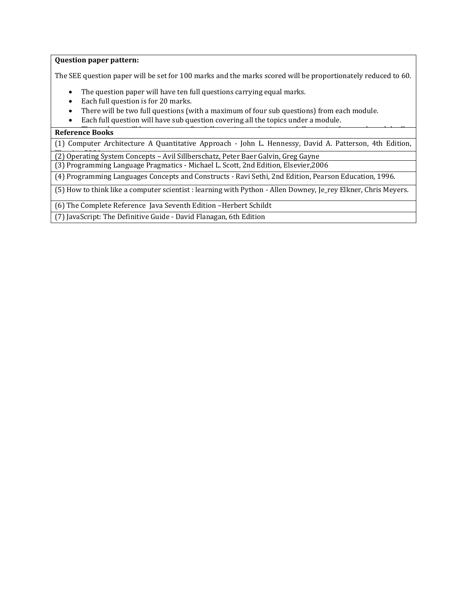## **Question paper pattern:**

The SEE question paper will be set for 100 marks and the marks scored will be proportionately reduced to 60.

- The question paper will have ten full questions carrying equal marks.
- Each full question is for 20 marks.
- There will be two full questions (with a maximum of four sub questions) from each module.
- Each full question will have sub question covering all the topics under a module.

## **The Students Reference Books**

(1) Computer Architecture A Quantitative Approach - John L. Hennessy, David A. Patterson, 4th Edition,

Elsevier, 2006 (2) Operating System Concepts – Avil Sillberschatz, Peter Baer Galvin, Greg Gayne

(3) Programming Language Pragmatics - Michael L. Scott, 2nd Edition, Elsevier,2006

(4) Programming Languages Concepts and Constructs - Ravi Sethi, 2nd Edition, Pearson Education, 1996.

(5) How to think like a computer scientist : learning with Python - Allen Downey, Je\_rey Elkner, Chris Meyers.

(6) The Complete Reference Java Seventh Edition –Herbert Schildt

1. (7) JavaScript: The Definitive Guide - David Flanagan, 6th Edition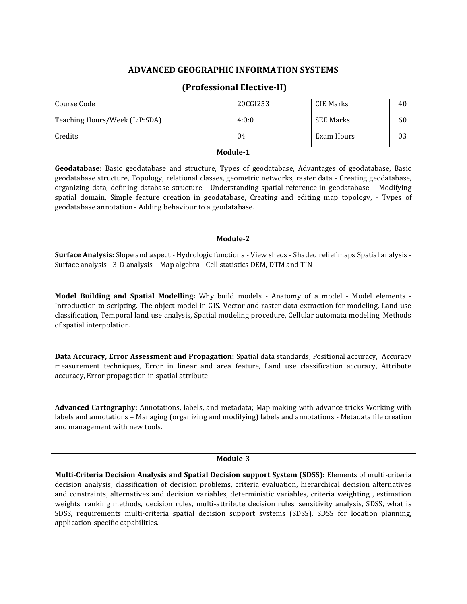# **ADVANCED GEOGRAPHIC INFORMATION SYSTEMS**

|                               | (Professional Elective-II) |            |    |
|-------------------------------|----------------------------|------------|----|
| Course Code                   | 20CGI253                   | CIE Marks  | 40 |
| Teaching Hours/Week (L:P:SDA) | 4:0:0                      | SEE Marks  | 60 |
| Credits                       | 04                         | Exam Hours | 03 |

**Module-1**

**Geodatabase:** Basic geodatabase and structure, Types of geodatabase, Advantages of geodatabase, Basic geodatabase structure, Topology, relational classes, geometric networks, raster data - Creating geodatabase, organizing data, defining database structure - Understanding spatial reference in geodatabase – Modifying spatial domain, Simple feature creation in geodatabase, Creating and editing map topology, - Types of geodatabase annotation - Adding behaviour to a geodatabase.

## **Module-2**

**Surface Analysis:** Slope and aspect - Hydrologic functions - View sheds - Shaded relief maps Spatial analysis - Surface analysis - 3-D analysis – Map algebra - Cell statistics DEM, DTM and TIN

**Model Building and Spatial Modelling:** Why build models - Anatomy of a model - Model elements - Introduction to scripting. The object model in GIS. Vector and raster data extraction for modeling, Land use classification, Temporal land use analysis, Spatial modeling procedure, Cellular automata modeling, Methods of spatial interpolation.

**Data Accuracy, Error Assessment and Propagation:** Spatial data standards, Positional accuracy, Accuracy measurement techniques, Error in linear and area feature, Land use classification accuracy, Attribute accuracy, Error propagation in spatial attribute

**Advanced Cartography:** Annotations, labels, and metadata; Map making with advance tricks Working with labels and annotations – Managing (organizing and modifying) labels and annotations - Metadata file creation and management with new tools.

#### **Module-3**

**Multi-Criteria Decision Analysis and Spatial Decision support System (SDSS):** Elements of multi-criteria decision analysis, classification of decision problems, criteria evaluation, hierarchical decision alternatives and constraints, alternatives and decision variables, deterministic variables, criteria weighting , estimation weights, ranking methods, decision rules, multi-attribute decision rules, sensitivity analysis, SDSS, what is SDSS, requirements multi-criteria spatial decision support systems (SDSS). SDSS for location planning, application-specific capabilities.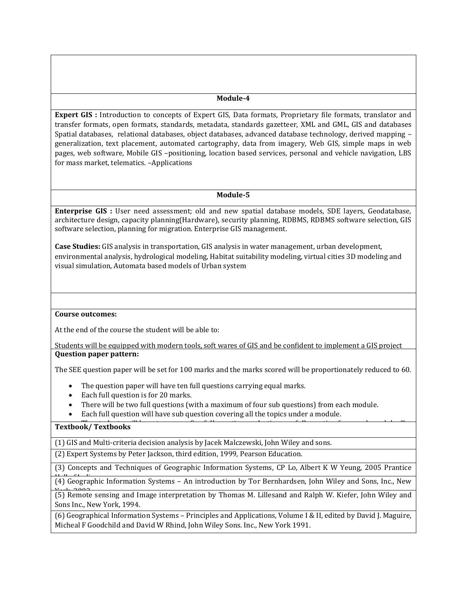**Expert GIS :** Introduction to concepts of Expert GIS, Data formats, Proprietary file formats, translator and transfer formats, open formats, standards, metadata, standards gazetteer, XML and GML, GIS and databases Spatial databases, relational databases, object databases, advanced database technology, derived mapping – generalization, text placement, automated cartography, data from imagery, Web GIS, simple maps in web pages, web software, Mobile GIS –positioning, location based services, personal and vehicle navigation, LBS for mass market, telematics. –Applications

#### **Module-5**

**Enterprise GIS :** User need assessment; old and new spatial database models, SDE layers, Geodatabase, architecture design, capacity planning(Hardware), security planning, RDBMS, RDBMS software selection, GIS software selection, planning for migration. Enterprise GIS management.

**Case Studies:** GIS analysis in transportation, GIS analysis in water management, urban development, environmental analysis, hydrological modeling, Habitat suitability modeling, virtual cities 3D modeling and visual simulation, Automata based models of Urban system

#### **Course outcomes:**

At the end of the course the student will be able to:

Students will be equipped with modern tools, soft wares of GIS and be confident to implement a GIS project **Question paper pattern:** 

The SEE question paper will be set for 100 marks and the marks scored will be proportionately reduced to 60.

- The question paper will have ten full questions carrying equal marks.
- Each full question is for 20 marks.
- There will be two full questions (with a maximum of four sub questions) from each module.
- Each full question will have sub question covering all the topics under a module.

#### Textbook/ Textbooks

(1) GIS and Multi-criteria decision analysis by Jacek Malczewski, John Wiley and sons.

(2) Expert Systems by Peter Jackson, third edition, 1999, Pearson Education.

(3) Concepts and Techniques of Geographic Information Systems, CP Lo, Albert K W Yeung, 2005 Prantice

(4) Geographic Information Systems – An introduction by Tor Bernhardsen, John Wiley and Sons, Inc., New

(5) Remote sensing and Image interpretation by Thomas M. Lillesand and Ralph W. Kiefer, John Wiley and Sons Inc., New York, 1994.

(6) Geographical Information Systems – Principles and Applications, Volume I & II, edited by David J. Maguire, Micheal F Goodchild and David W Rhind, John Wiley Sons. Inc., New York 1991.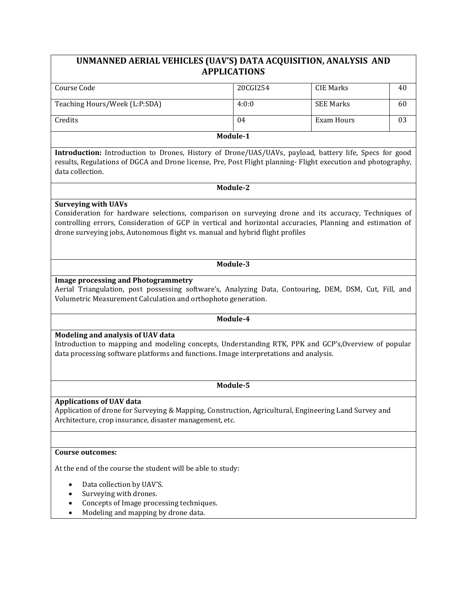# **UNMANNED AERIAL VEHICLES (UAV'S) DATA ACQUISITION, ANALYSIS AND APPLICATIONS**

| Course Code                   | 20CGI254 | CIE Marks        | 40 |  |  |
|-------------------------------|----------|------------------|----|--|--|
|                               |          |                  |    |  |  |
| Teaching Hours/Week (L:P:SDA) | 4:0:0    | <b>SEE Marks</b> | 60 |  |  |
|                               |          |                  |    |  |  |
| Credits                       | 04       | Exam Hours       | 03 |  |  |
|                               |          |                  |    |  |  |
| Module-1                      |          |                  |    |  |  |

**Introduction:** Introduction to Drones, History of Drone/UAS/UAVs, payload, battery life, Specs for good results, Regulations of DGCA and Drone license, Pre, Post Flight planning- Flight execution and photography, data collection.

**Module-2**

## **Surveying with UAVs**

Consideration for hardware selections, comparison on surveying drone and its accuracy, Techniques of controlling errors, Consideration of GCP in vertical and horizontal accuracies, Planning and estimation of drone surveying jobs, Autonomous flight vs. manual and hybrid flight profiles

#### **Module-3**

## **Image processing and Photogrammetry**

Aerial Triangulation, post possessing software's, Analyzing Data, Contouring, DEM, DSM, Cut, Fill, and Volumetric Measurement Calculation and orthophoto generation.

## **Module-4**

## **Modeling and analysis of UAV data**

Introduction to mapping and modeling concepts, Understanding RTK, PPK and GCP's,Overview of popular data processing software platforms and functions. Image interpretations and analysis.

## **Module-5**

## **Applications of UAV data**

Application of drone for Surveying & Mapping, Construction, Agricultural, Engineering Land Survey and Architecture, crop insurance, disaster management, etc.

## **Course outcomes:**

At the end of the course the student will be able to study:

- Data collection by UAV'S.
- Surveying with drones.

Applications of drones.

- Concepts of Image processing techniques.
- Modeling and mapping by drone data.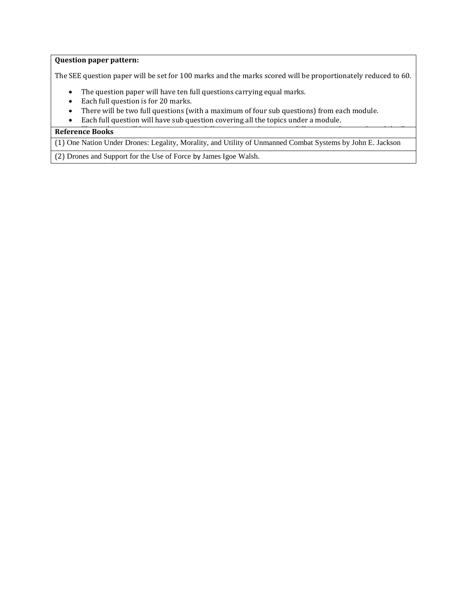## **Question paper pattern:**

The SEE question paper will be set for 100 marks and the marks scored will be proportionately reduced to 60.

- The question paper will have ten full questions carrying equal marks.
- Each full question is for 20 marks.
- There will be two full questions (with a maximum of four sub questions) from each module.
- Each full question will have sub question covering all the topics under a module.

## **Reference Books**

(1) One Nation Under Drones: Legality, Morality, and Utility of Unmanned Combat Systems by John E. Jackson

(2) Drones and Support for the Use of Force by James Igoe Walsh.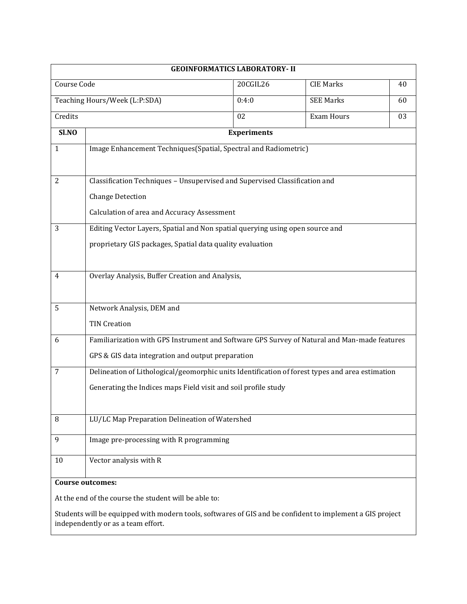|                               |                                                                                                                                                                                                          | <b>GEOINFORMATICS LABORATORY- II</b> |                   |    |  |
|-------------------------------|----------------------------------------------------------------------------------------------------------------------------------------------------------------------------------------------------------|--------------------------------------|-------------------|----|--|
| Course Code                   |                                                                                                                                                                                                          | 20CGIL26                             | <b>CIE Marks</b>  | 40 |  |
| Teaching Hours/Week (L:P:SDA) |                                                                                                                                                                                                          | 0:4:0                                | <b>SEE Marks</b>  | 60 |  |
| Credits                       |                                                                                                                                                                                                          | 02                                   | <b>Exam Hours</b> | 03 |  |
| Sl.NO                         |                                                                                                                                                                                                          | <b>Experiments</b>                   |                   |    |  |
| 1                             | Image Enhancement Techniques(Spatial, Spectral and Radiometric)                                                                                                                                          |                                      |                   |    |  |
| $\overline{2}$                | Classification Techniques - Unsupervised and Supervised Classification and<br><b>Change Detection</b><br>Calculation of area and Accuracy Assessment                                                     |                                      |                   |    |  |
| 3                             | Editing Vector Layers, Spatial and Non spatial querying using open source and<br>proprietary GIS packages, Spatial data quality evaluation                                                               |                                      |                   |    |  |
| 4                             | Overlay Analysis, Buffer Creation and Analysis,                                                                                                                                                          |                                      |                   |    |  |
| 5                             | Network Analysis, DEM and<br><b>TIN Creation</b>                                                                                                                                                         |                                      |                   |    |  |
| 6                             | Familiarization with GPS Instrument and Software GPS Survey of Natural and Man-made features<br>GPS & GIS data integration and output preparation                                                        |                                      |                   |    |  |
| 7                             | Delineation of Lithological/geomorphic units Identification of forest types and area estimation<br>Generating the Indices maps Field visit and soil profile study                                        |                                      |                   |    |  |
| 8                             | LU/LC Map Preparation Delineation of Watershed                                                                                                                                                           |                                      |                   |    |  |
| 9                             | Image pre-processing with R programming                                                                                                                                                                  |                                      |                   |    |  |
| 10                            | Vector analysis with R                                                                                                                                                                                   |                                      |                   |    |  |
| <b>Course outcomes:</b>       |                                                                                                                                                                                                          |                                      |                   |    |  |
|                               | At the end of the course the student will be able to:<br>Students will be equipped with modern tools, softwares of GIS and be confident to implement a GIS project<br>independently or as a team effort. |                                      |                   |    |  |